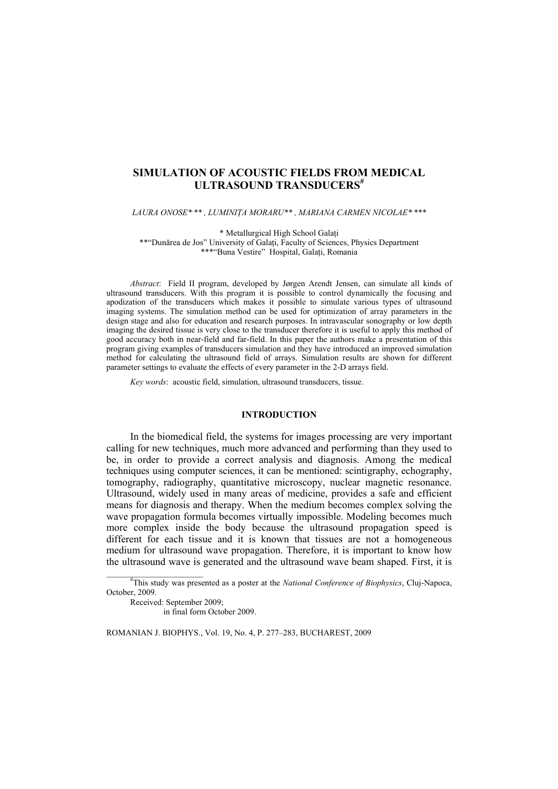# SIMULATION OF ACOUSTIC FIELDS FROM MEDICAL **ULTRASOUND TRANSDUCERS**<sup>#</sup>

LAURA ONOSE\*\*\*, LUMINIȚA MORARU\*\*, MARIANA CARMEN NICOLAE\*\*\*\*

\* Metallurgical High School Galati

\*\*"Dunărea de Jos" University of Galati, Faculty of Sciences, Physics Department \*\*\*"Buna Vestire" Hospital, Galati, Romania

Abstract: Field II program, developed by Jørgen Arendt Jensen, can simulate all kinds of ultrasound transducers. With this program it is possible to control dynamically the focusing and apodization of the transducers which makes it possible to simulate various types of ultrasound imaging systems. The simulation method can be used for optimization of array parameters in the design stage and also for education and research purposes. In intravascular sonography or low depth imaging the desired tissue is very close to the transducer therefore it is useful to apply this method of good accuracy both in near-field and far-field. In this paper the authors make a presentation of this program giving examples of transducers simulation and they have introduced an improved simulation method for calculating the ultrasound field of arrays. Simulation results are shown for different parameter settings to evaluate the effects of every parameter in the 2-D arrays field.

Key words: acoustic field, simulation, ultrasound transducers, tissue.

### **INTRODUCTION**

In the biomedical field, the systems for images processing are very important calling for new techniques, much more advanced and performing than they used to be, in order to provide a correct analysis and diagnosis. Among the medical techniques using computer sciences, it can be mentioned: scintigraphy, echography, tomography, radiography, quantitative microscopy, nuclear magnetic resonance. Ultrasound, widely used in many areas of medicine, provides a safe and efficient means for diagnosis and therapy. When the medium becomes complex solving the wave propagation formula becomes virtually impossible. Modeling becomes much more complex inside the body because the ultrasound propagation speed is different for each tissue and it is known that tissues are not a homogeneous medium for ultrasound wave propagation. Therefore, it is important to know how the ultrasound wave is generated and the ultrasound wave beam shaped. First, it is

"This study was presented as a poster at the *National Conference of Biophysics*, Cluj-Napoca, October, 2009.

ROMANIAN J. BIOPHYS., Vol. 19, No. 4, P. 277-283, BUCHAREST, 2009

Received: Sentember 2009: in final form October 2009.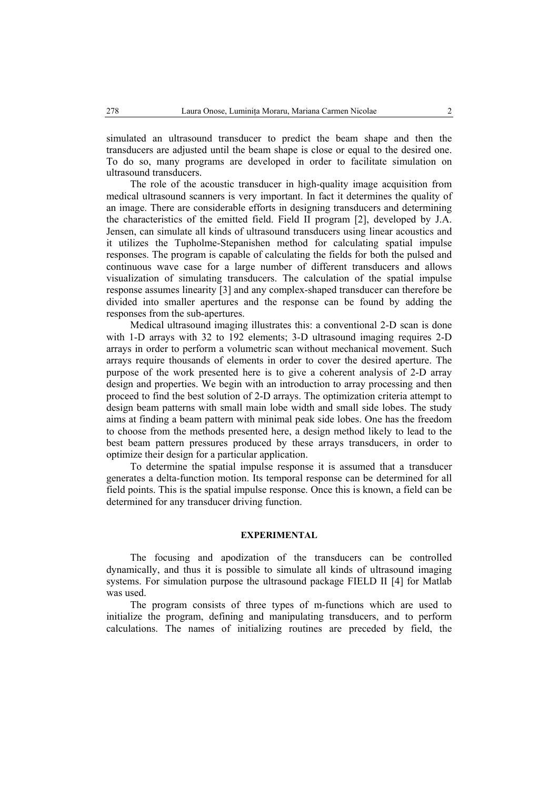simulated an ultrasound transducer to predict the beam shape and then the transducers are adjusted until the beam shape is close or equal to the desired one. To do so, many programs are developed in order to facilitate simulation on ultrasound transducers.

The role of the acoustic transducer in high-quality image acquisition from medical ultrasound scanners is very important. In fact it determines the quality of an image. There are considerable efforts in designing transducers and determining the characteristics of the emitted field. Field II program [2], developed by J.A. Jensen, can simulate all kinds of ultrasound transducers using linear acoustics and it utilizes the Tupholme-Stepanishen method for calculating spatial impulse responses. The program is capable of calculating the fields for both the pulsed and continuous wave case for a large number of different transducers and allows visualization of simulating transducers. The calculation of the spatial impulse response assumes linearity [3] and any complex-shaped transducer can therefore be divided into smaller apertures and the response can be found by adding the responses from the sub-apertures.

Medical ultrasound imaging illustrates this: a conventional 2-D scan is done with 1-D arrays with 32 to 192 elements; 3-D ultrasound imaging requires 2-D arrays in order to perform a volumetric scan without mechanical movement. Such arrays require thousands of elements in order to cover the desired aperture. The purpose of the work presented here is to give a coherent analysis of 2-D array design and properties. We begin with an introduction to array processing and then proceed to find the best solution of 2-D arrays. The optimization criteria attempt to design beam patterns with small main lobe width and small side lobes. The study aims at finding a beam pattern with minimal peak side lobes. One has the freedom to choose from the methods presented here, a design method likely to lead to the best beam pattern pressures produced by these arrays transducers, in order to optimize their design for a particular application.

To determine the spatial impulse response it is assumed that a transducer generates a delta-function motion. Its temporal response can be determined for all field points. This is the spatial impulse response. Once this is known, a field can be determined for any transducer driving function.

### **EXPERIMENTAL**

The focusing and apodization of the transducers can be controlled dynamically, and thus it is possible to simulate all kinds of ultrasound imaging systems. For simulation purpose the ultrasound package FIELD II [4] for Matlab was used.

The program consists of three types of m-functions which are used to initialize the program, defining and manipulating transducers, and to perform calculations. The names of initializing routines are preceded by field, the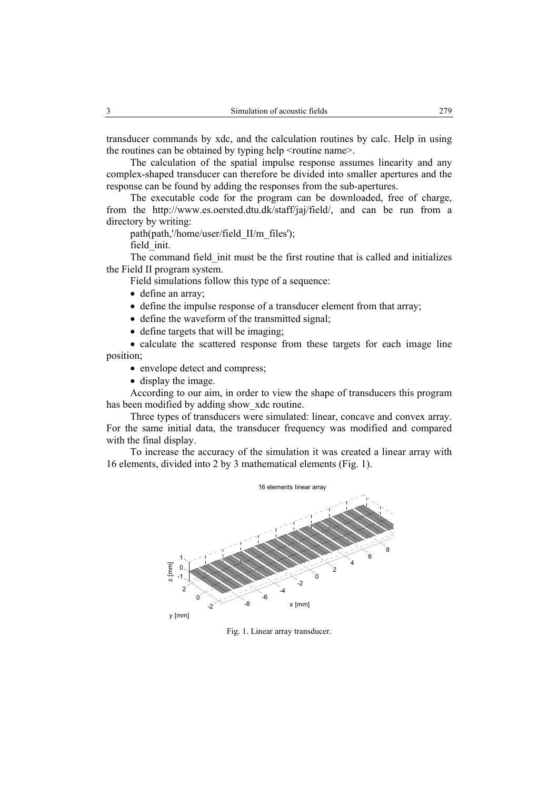transducer commands by xdc, and the calculation routines by calc. Help in using the routines can be obtained by typing help <routine name>.

The calculation of the spatial impulse response assumes linearity and any complex-shaped transducer can therefore be divided into smaller apertures and the response can be found by adding the responses from the sub-apertures.

The executable code for the program can be downloaded, free of charge, from the http://www.es.oersted.dtu.dk/staff/jaj/field/, and can be run from a directory by writing:

path(path.'/home/user/field II/m files');

field init.

The command field init must be the first routine that is called and initializes the Field II program system.

Field simulations follow this type of a sequence:

- define an array;
- define the impulse response of a transducer element from that array;
- define the waveform of the transmitted signal;
- define targets that will be imaging;

• calculate the scattered response from these targets for each image line position;

- envelope detect and compress;
- display the image.

According to our aim, in order to view the shape of transducers this program has been modified by adding show xdc routine.

Three types of transducers were simulated: linear, concave and convex array. For the same initial data, the transducer frequency was modified and compared with the final display.

To increase the accuracy of the simulation it was created a linear array with 16 elements, divided into 2 by 3 mathematical elements (Fig. 1).



Fig. 1. Linear array transducer.

 $\mathfrak{Z}$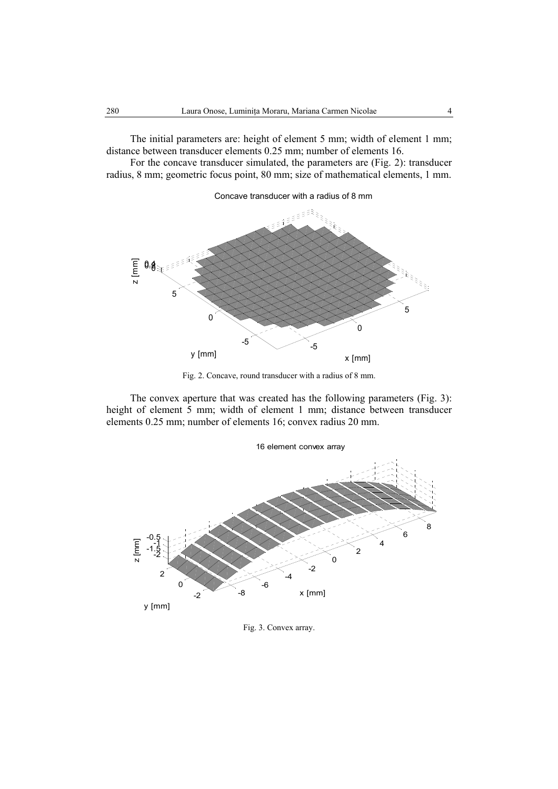The initial parameters are: height of element 5 mm; width of element 1 mm; distance between transducer elements 0.25 mm; number of elements 16.

For the concave transducer simulated, the parameters are (Fig. 2): transducer radius, 8 mm; geometric focus point, 80 mm; size of mathematical elements, 1 mm.



Fig. 2. Concave, round transducer with a radius of 8 mm.

The convex aperture that was created has the following parameters (Fig. 3): height of element 5 mm; width of element 1 mm; distance between transducer elements 0.25 mm; number of elements 16; convex radius 20 mm.



Fig. 3. Convex array.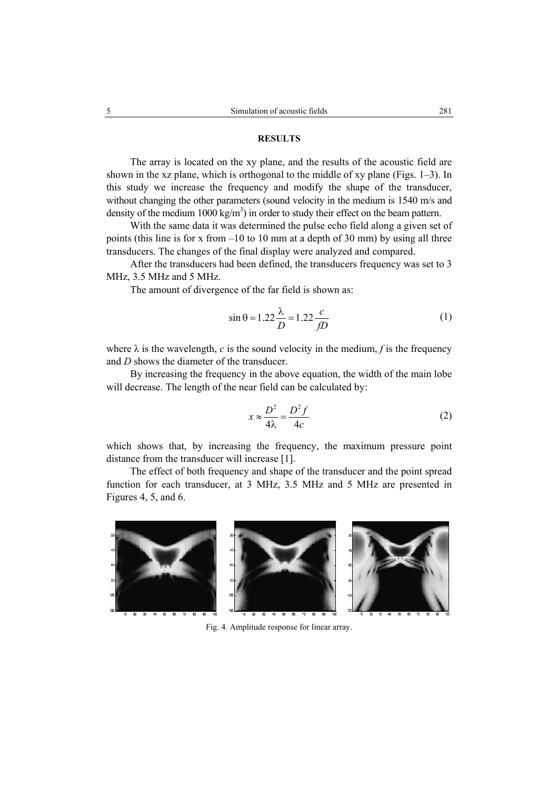## **RESULTS**

The array is located on the xy plane, and the results of the acoustic field are shown in the xz plane, which is orthogonal to the middle of xy plane (Figs.  $1-3$ ). In this study we increase the frequency and modify the shape of the transducer, without changing the other parameters (sound velocity in the medium is 1540 m/s and density of the medium 1000 kg/m<sup>3</sup>) in order to study their effect on the beam pattern.

With the same data it was determined the pulse echo field along a given set of points (this line is for x from -10 to 10 mm at a depth of 30 mm) by using all three transducers. The changes of the final display were analyzed and compared.

After the transducers had been defined, the transducers frequency was set to 3 MHz, 3.5 MHz and 5 MHz.

The amount of divergence of the far field is shown as:

$$
\sin \theta = 1.22 \frac{\lambda}{D} = 1.22 \frac{c}{fD} \tag{1}
$$

where  $\lambda$  is the wavelength, c is the sound velocity in the medium, f is the frequency and  $D$  shows the diameter of the transducer

By increasing the frequency in the above equation, the width of the main lobe will decrease. The length of the near field can be calculated by:

$$
x \approx \frac{D^2}{4\lambda} = \frac{D^2 f}{4c} \tag{2}
$$

which shows that, by increasing the frequency, the maximum pressure point distance from the transducer will increase [1].

The effect of both frequency and shape of the transducer and the point spread function for each transducer, at 3 MHz, 3.5 MHz and 5 MHz are presented in Figures 4, 5, and 6.



Fig. 4. Amplitude response for linear array.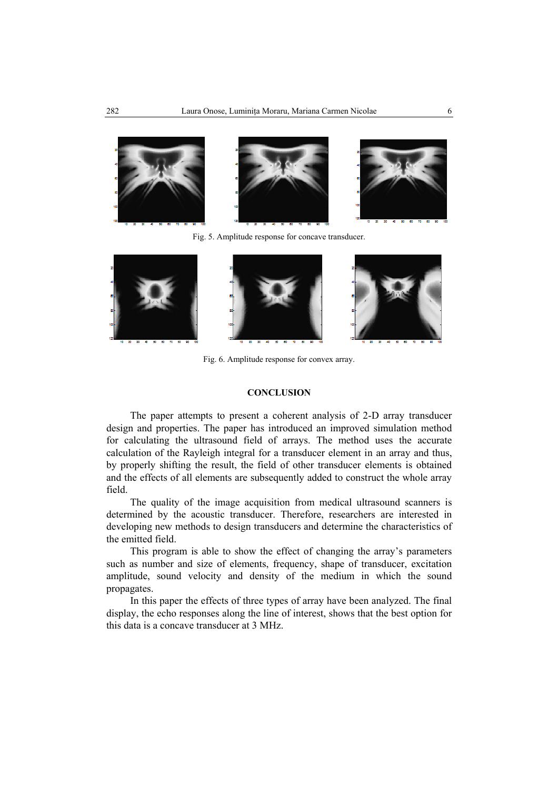

Fig. 5. Amplitude response for concave transducer.



Fig. 6. Amplitude response for convex array.

### **CONCLUSION**

The paper attempts to present a coherent analysis of 2-D array transducer design and properties. The paper has introduced an improved simulation method for calculating the ultrasound field of arrays. The method uses the accurate calculation of the Rayleigh integral for a transducer element in an array and thus, by properly shifting the result, the field of other transducer elements is obtained and the effects of all elements are subsequently added to construct the whole array field.

The quality of the image acquisition from medical ultrasound scanners is determined by the acoustic transducer. Therefore, researchers are interested in developing new methods to design transducers and determine the characteristics of the emitted field.

This program is able to show the effect of changing the array's parameters such as number and size of elements, frequency, shape of transducer, excitation amplitude, sound velocity and density of the medium in which the sound propagates.

In this paper the effects of three types of array have been analyzed. The final display, the echo responses along the line of interest, shows that the best option for this data is a concave transducer at 3 MHz.